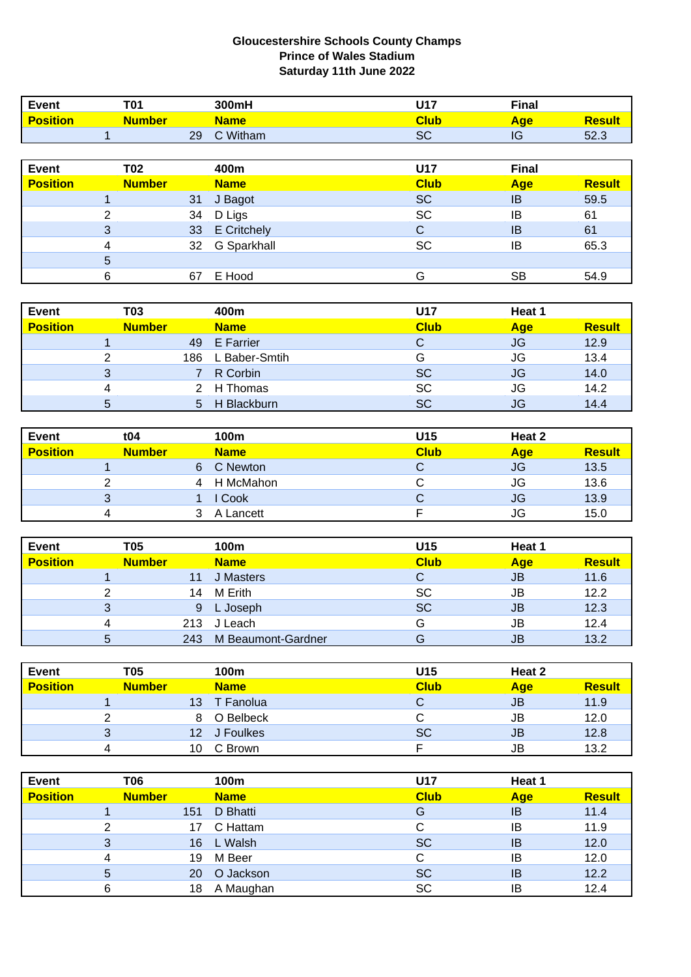## **Gloucestershire Schools County Champs Prince of Wales Stadium Saturday 11th June 2022**

| <b>Event</b>    | <b>T01</b>     |    | 300mH              | <b>U17</b>  | <b>Final</b> |               |
|-----------------|----------------|----|--------------------|-------------|--------------|---------------|
| <b>Position</b> | <b>Number</b>  |    | <b>Name</b>        | <b>Club</b> | <b>Age</b>   | <b>Result</b> |
|                 |                | 29 | C Witham           | <b>SC</b>   | IG           | 52.3          |
|                 |                |    |                    |             |              |               |
| <b>Event</b>    | <b>T02</b>     |    | 400m               | U17         | <b>Final</b> |               |
| <b>Position</b> | <b>Number</b>  |    | <b>Name</b>        | <b>Club</b> | <b>Age</b>   | <b>Result</b> |
|                 |                | 31 | J Bagot            | <b>SC</b>   | IB           | 59.5          |
|                 | $\overline{2}$ | 34 | D Ligs             | <b>SC</b>   | IB           | 61            |
|                 | 3              | 33 | <b>E</b> Critchely | C           | IB           | 61            |
|                 | 4              | 32 | G Sparkhall        | <b>SC</b>   | IB           | 65.3          |
|                 | 5              |    |                    |             |              |               |
|                 | 6              | 67 | E Hood             | G           | <b>SB</b>    | 54.9          |

| <b>Event</b>    |   | T03           | 400m              | U17         | Heat 1     |               |
|-----------------|---|---------------|-------------------|-------------|------------|---------------|
| <b>Position</b> |   | <b>Number</b> | <b>Name</b>       | <b>Club</b> | <b>Age</b> | <b>Result</b> |
|                 |   |               | 49 E Farrier      |             | JG         | 12.9          |
|                 | ົ |               | 186 L Baber-Smtih | G           | <b>JG</b>  | 13.4          |
|                 | 3 |               | R Corbin          | <b>SC</b>   | <b>JG</b>  | 14.0          |
|                 | 4 |               | 2 H Thomas        | <b>SC</b>   | <b>JG</b>  | 14.2          |
|                 | 5 | 5             | H Blackburn       | <b>SC</b>   | JG         | 14.4          |

| Event           | t04           | 100m        | U15         | Heat 2     |               |
|-----------------|---------------|-------------|-------------|------------|---------------|
| <b>Position</b> | <b>Number</b> | <b>Name</b> | <b>Club</b> | <b>Age</b> | <b>Result</b> |
|                 |               | C Newton    |             | <b>JG</b>  | 13.5          |
|                 |               | H McMahon   |             | JG         | 13.6          |
|                 | ≏<br>د        | Cook        |             | <b>JG</b>  | 13.9          |
|                 |               | A Lancett   |             | JG         | 15.0          |

| <b>Event</b>    | T05           | 100m               | U15         | Heat 1    |               |
|-----------------|---------------|--------------------|-------------|-----------|---------------|
| <b>Position</b> | <b>Number</b> | <b>Name</b>        | <b>Club</b> | Age       | <b>Result</b> |
|                 |               | J Masters          |             | JB        | 11.6          |
| ◠               | 14            | M Erith            | SC          | JB        | 12.2          |
| 3               | 9             | L Joseph           | <b>SC</b>   | <b>JB</b> | 12.3          |
| 4               | 213           | J Leach            | G           | JB        | 12.4          |
| 5               | 243           | M Beaumont-Gardner | G           | JB        | 13.2          |

| <b>Event</b>    | T05           |    | 100m         | U15         | Heat 2 |               |
|-----------------|---------------|----|--------------|-------------|--------|---------------|
| <b>Position</b> | <b>Number</b> |    | <b>Name</b>  | <b>Club</b> | Age    | <b>Result</b> |
|                 |               | 13 | T Fanolua    |             | JB     | 11.9          |
|                 |               |    | 8 O Belbeck  |             | JB     | 12.0          |
|                 | 3             |    | 12 J Foulkes | <b>SC</b>   | JB     | 12.8          |
|                 |               | 10 | C Brown      |             | JB     | 13.2          |

| <b>Event</b>    | T06           | 100m            | U17         | Heat 1     |               |
|-----------------|---------------|-----------------|-------------|------------|---------------|
| <b>Position</b> | <b>Number</b> | <b>Name</b>     | <b>Club</b> | <b>Age</b> | <b>Result</b> |
|                 |               | D Bhatti<br>151 | G           | IB         | 11.4          |
| ⌒               |               | C Hattam<br>17  |             | IB         | 11.9          |
| 3               |               | L Walsh<br>16   | <b>SC</b>   | IB         | 12.0          |
|                 |               | M Beer<br>19    |             | IB         | 12.0          |
| 5               |               | O Jackson<br>20 | SC          | IB         | 12.2          |
|                 |               | A Maughan<br>18 | SC          | ΙB         | 12.4          |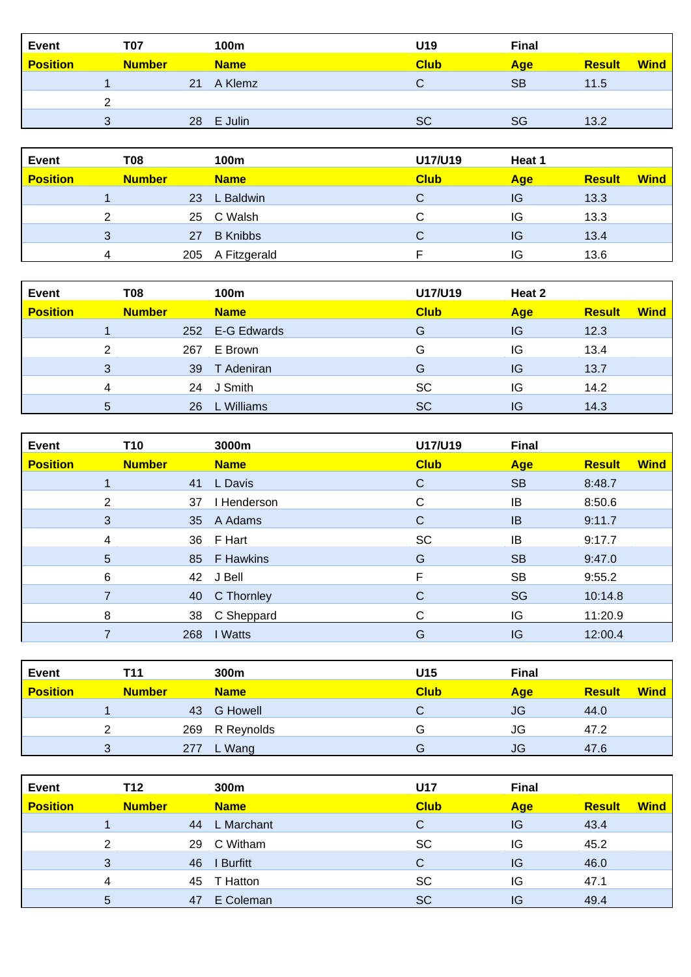| <b>Event</b>    | T07           |    | 100m        | U19         | <b>Final</b> |               |             |
|-----------------|---------------|----|-------------|-------------|--------------|---------------|-------------|
| <b>Position</b> | <b>Number</b> |    | <b>Name</b> | <b>Club</b> | <b>Age</b>   | <b>Result</b> | <b>Wind</b> |
|                 |               | 21 | A Klemz     | C.          | <b>SB</b>    | 11.5          |             |
|                 |               |    |             |             |              |               |             |
|                 |               | 28 | E Julin     | <b>SC</b>   | SG           | 13.2          |             |

| <b>Event</b>    | T08           |     | 100m            | U17/U19     | Heat 1 |               |             |
|-----------------|---------------|-----|-----------------|-------------|--------|---------------|-------------|
| <b>Position</b> | <b>Number</b> |     | <b>Name</b>     | <b>Club</b> | Age    | <b>Result</b> | <b>Wind</b> |
|                 |               | 23  | L Baldwin       | С           | IG     | 13.3          |             |
|                 |               |     | 25 C Walsh      | С           | IG     | 13.3          |             |
|                 | 3             | 27  | <b>B</b> Knibbs | С           | IG     | 13.4          |             |
|                 | 4             | 205 | A Fitzgerald    |             | IG     | 13.6          |             |

| <b>Event</b>    | T08           |     | 100m            | U17/U19     | Heat 2     |               |             |
|-----------------|---------------|-----|-----------------|-------------|------------|---------------|-------------|
| <b>Position</b> | <b>Number</b> |     | <b>Name</b>     | <b>Club</b> | <b>Age</b> | <b>Result</b> | <b>Wind</b> |
|                 |               |     | 252 E-G Edwards | G           | IG         | 12.3          |             |
|                 | っ             | 267 | E Brown         | G           | IG         | 13.4          |             |
|                 | 3             | 39  | T Adeniran      | G           | IG         | 13.7          |             |
|                 | 4             | 24  | J Smith         | <b>SC</b>   | IG         | 14.2          |             |
|                 | 5             | 26  | L Williams      | <b>SC</b>   | IG         | 14.3          |             |

| <b>Event</b>    | T <sub>10</sub> |     | 3000m        | U17/U19     | <b>Final</b> |                              |
|-----------------|-----------------|-----|--------------|-------------|--------------|------------------------------|
| <b>Position</b> | <b>Number</b>   |     | <b>Name</b>  | <b>Club</b> | <b>Age</b>   | <b>Wind</b><br><b>Result</b> |
|                 |                 | 41  | L Davis      | $\mathbf C$ | <b>SB</b>    | 8:48.7                       |
|                 | $\overline{2}$  | 37  | I Henderson  | C           | IB           | 8:50.6                       |
|                 | 3               |     | 35 A Adams   | $\mathbf C$ | <b>IB</b>    | 9:11.7                       |
|                 | 4               |     | 36 F Hart    | <b>SC</b>   | IB           | 9:17.7                       |
|                 | 5               |     | 85 F Hawkins | G           | <b>SB</b>    | 9:47.0                       |
|                 | 6               |     | 42 J Bell    | F           | <b>SB</b>    | 9:55.2                       |
|                 |                 | 40  | C Thornley   | C           | SG           | 10:14.8                      |
|                 | 8               | 38  | C Sheppard   | C           | IG           | 11:20.9                      |
|                 |                 | 268 | I Watts      | G           | IG           | 12:00.4                      |

| <b>Event</b>    | T11           |     | 300m            | U15         | <b>Final</b> |               |             |
|-----------------|---------------|-----|-----------------|-------------|--------------|---------------|-------------|
| <b>Position</b> | <b>Number</b> |     | <b>Name</b>     | <b>Club</b> | Age          | <b>Result</b> | <b>Wind</b> |
|                 |               | 43  | <b>G</b> Howell |             | JG           | 44.0          |             |
|                 |               |     | 269 R Reynolds  | G           | JG           | 47.2          |             |
|                 | 2             | 277 | L Wang          | G           | JG           | 47.6          |             |

| <b>Event</b>    | T12           |    | 300m        | <b>U17</b>  | <b>Final</b> |               |             |
|-----------------|---------------|----|-------------|-------------|--------------|---------------|-------------|
| <b>Position</b> | <b>Number</b> |    | <b>Name</b> | <b>Club</b> | <b>Age</b>   | <b>Result</b> | <b>Wind</b> |
|                 |               | 44 | L Marchant  | C           | IG           | 43.4          |             |
|                 | 2             | 29 | C Witham    | SC          | IG           | 45.2          |             |
|                 | 3             | 46 | I Burfitt   | C           | IG           | 46.0          |             |
|                 | 4             |    | 45 T Hatton | <b>SC</b>   | IG           | 47.1          |             |
|                 | 5.            | 47 | E Coleman   | <b>SC</b>   | IG           | 49.4          |             |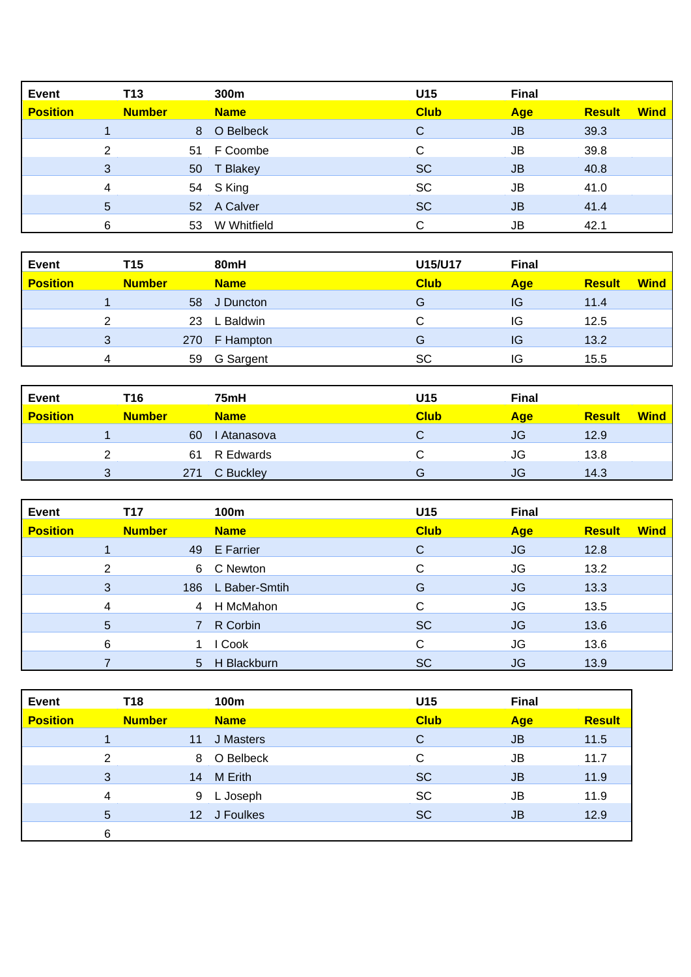| <b>Event</b>    | T <sub>13</sub> |    | 300m        | U <sub>15</sub> | <b>Final</b> |               |             |
|-----------------|-----------------|----|-------------|-----------------|--------------|---------------|-------------|
| <b>Position</b> | <b>Number</b>   |    | <b>Name</b> | <b>Club</b>     | Age          | <b>Result</b> | <b>Wind</b> |
|                 |                 | 8  | O Belbeck   | C               | JB           | 39.3          |             |
|                 | C               |    | 51 F Coombe | С               | <b>JB</b>    | 39.8          |             |
|                 | 3               |    | 50 T Blakey | <b>SC</b>       | <b>JB</b>    | 40.8          |             |
|                 | 4               |    | 54 S King   | <b>SC</b>       | JB           | 41.0          |             |
|                 | 5               |    | 52 A Calver | <b>SC</b>       | <b>JB</b>    | 41.4          |             |
|                 | 6               | 53 | W Whitfield |                 | JB           | 42.1          |             |

| <b>Event</b>    | T <sub>15</sub> |     | 80mH         | U15/U17     | <b>Final</b> |               |             |
|-----------------|-----------------|-----|--------------|-------------|--------------|---------------|-------------|
| <b>Position</b> | <b>Number</b>   |     | <b>Name</b>  | <b>Club</b> | <b>Age</b>   | <b>Result</b> | <b>Wind</b> |
|                 |                 | 58  | J Duncton    | G           | IG           | 11.4          |             |
|                 |                 | 23  | L Baldwin    | C           | IG           | 12.5          |             |
|                 | 3               | 270 | F Hampton    | G           | IG           | 13.2          |             |
|                 | 4               |     | 59 G Sargent | <b>SC</b>   | IG           | 15.5          |             |

| <b>Event</b>    | T16           |     | 75mH        | U15         | <b>Final</b> |               |             |
|-----------------|---------------|-----|-------------|-------------|--------------|---------------|-------------|
| <b>Position</b> | <b>Number</b> |     | <b>Name</b> | <b>Club</b> | <b>Age</b>   | <b>Result</b> | <b>Wind</b> |
|                 |               | 60  | Atanasova   | C           | JG           | 12.9          |             |
|                 |               | 61  | R Edwards   | Û.          | JG           | 13.8          |             |
|                 |               | 271 | C Buckley   | G           | JG           | 14.3          |             |

| <b>Event</b>    | T17           |                | 100m          | U15         | <b>Final</b> |               |             |
|-----------------|---------------|----------------|---------------|-------------|--------------|---------------|-------------|
| <b>Position</b> | <b>Number</b> |                | <b>Name</b>   | <b>Club</b> | Age          | <b>Result</b> | <b>Wind</b> |
|                 |               |                | 49 E Farrier  | C           | <b>JG</b>    | 12.8          |             |
|                 | ◠             | 6              | C Newton      | C           | JG           | 13.2          |             |
|                 | 3             | 186            | L Baber-Smtih | G           | <b>JG</b>    | 13.3          |             |
|                 | 4             | 4              | H McMahon     | C           | <b>JG</b>    | 13.5          |             |
|                 | 5             |                | R Corbin      | <b>SC</b>   | <b>JG</b>    | 13.6          |             |
|                 | 6             |                | Cook          | C           | JG           | 13.6          |             |
|                 |               | 5 <sub>5</sub> | H Blackburn   | <b>SC</b>   | <b>JG</b>    | 13.9          |             |

| <b>Event</b>    | T18           |    | 100m         | U15         | <b>Final</b> |               |
|-----------------|---------------|----|--------------|-------------|--------------|---------------|
| <b>Position</b> | <b>Number</b> |    | <b>Name</b>  | <b>Club</b> | <b>Age</b>   | <b>Result</b> |
|                 |               | 11 | J Masters    | C           | <b>JB</b>    | 11.5          |
|                 | 2             |    | 8 O Belbeck  | С           | <b>JB</b>    | 11.7          |
|                 | 3             | 14 | M Erith      | <b>SC</b>   | <b>JB</b>    | 11.9          |
|                 | 4             |    | 9 L Joseph   | <b>SC</b>   | <b>JB</b>    | 11.9          |
|                 | 5             |    | 12 J Foulkes | <b>SC</b>   | <b>JB</b>    | 12.9          |
|                 | 6             |    |              |             |              |               |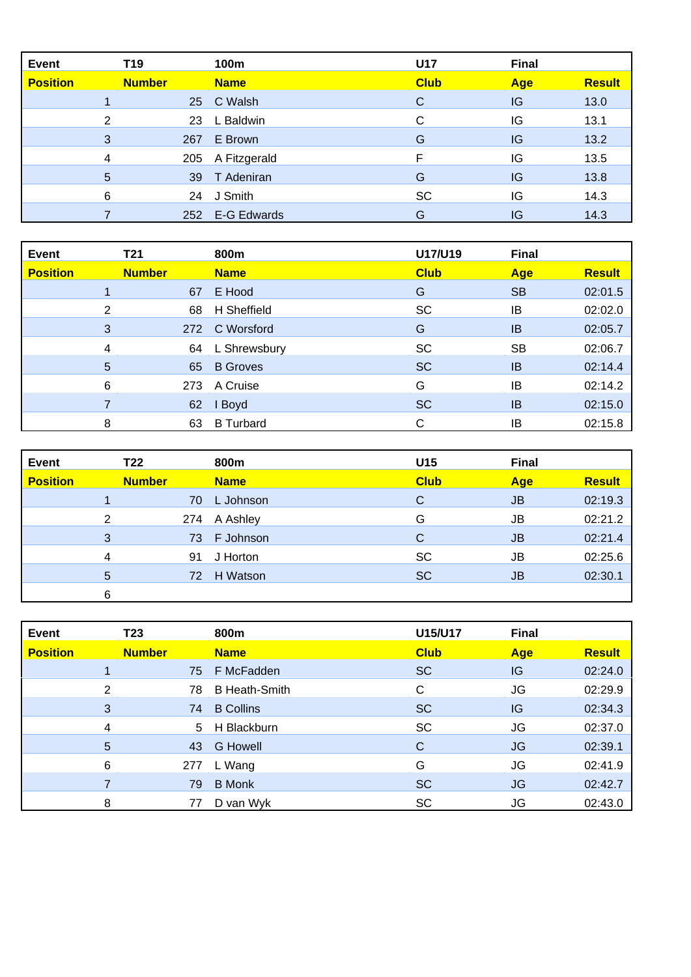| <b>Event</b>    | T19           | 100m             | <b>U17</b>  |     | <b>Final</b>  |
|-----------------|---------------|------------------|-------------|-----|---------------|
| <b>Position</b> | <b>Number</b> | <b>Name</b>      | <b>Club</b> | Age | <b>Result</b> |
|                 |               | 25 C Walsh       | C           | IG  | 13.0          |
|                 | 2             | L Baldwin<br>23  | C           | IG  | 13.1          |
|                 | 3<br>267      | E Brown          | G           | IG  | 13.2          |
|                 | 4             | 205 A Fitzgerald | F           | IG  | 13.5          |
|                 | 5             | 39 T Adeniran    | G           | IG  | 13.8          |
|                 | 6             | J Smith<br>24    | <b>SC</b>   | IG  | 14.3          |
|                 | 252           | E-G Edwards      | G           | IG  | 14.3          |

| <b>Event</b>    | T21            |     | 800m             | U17/U19     | <b>Final</b> |               |
|-----------------|----------------|-----|------------------|-------------|--------------|---------------|
| <b>Position</b> | <b>Number</b>  |     | <b>Name</b>      | <b>Club</b> | Age          | <b>Result</b> |
|                 |                | 67  | E Hood           | G           | <b>SB</b>    | 02:01.5       |
|                 | $\overline{2}$ | 68  | H Sheffield      | <b>SC</b>   | IB           | 02:02.0       |
|                 | 3              | 272 | C Worsford       | G           | <b>IB</b>    | 02:05.7       |
|                 | 4              | 64  | L Shrewsbury     | SC          | <b>SB</b>    | 02:06.7       |
|                 | 5              | 65  | <b>B</b> Groves  | <b>SC</b>   | IB           | 02:14.4       |
|                 | 6              | 273 | A Cruise         | G           | IB           | 02:14.2       |
|                 | 7              | 62  | I Boyd           | <b>SC</b>   | <b>IB</b>    | 02:15.0       |
|                 | 8              | 63  | <b>B</b> Turbard | С           | IB           | 02:15.8       |

| <b>Event</b>    | T22           |    | 800m         | U15         | <b>Final</b> |               |
|-----------------|---------------|----|--------------|-------------|--------------|---------------|
| <b>Position</b> | <b>Number</b> |    | <b>Name</b>  | <b>Club</b> | Age          | <b>Result</b> |
|                 |               | 70 | L Johnson    | C           | JB           | 02:19.3       |
|                 | 2             |    | 274 A Ashley | G           | <b>JB</b>    | 02:21.2       |
|                 | 3             |    | 73 F Johnson | C           | <b>JB</b>    | 02:21.4       |
|                 | 4             | 91 | J Horton     | <b>SC</b>   | <b>JB</b>    | 02:25.6       |
|                 | 5             | 72 | H Watson     | <b>SC</b>   | <b>JB</b>    | 02:30.1       |
|                 | 6             |    |              |             |              |               |

| <b>Event</b>    | T23           | 800m             | U15/U17     | <b>Final</b> |               |
|-----------------|---------------|------------------|-------------|--------------|---------------|
| <b>Position</b> | <b>Number</b> | <b>Name</b>      | <b>Club</b> | Age          | <b>Result</b> |
|                 | 75            | F McFadden       | <b>SC</b>   | IG           | 02:24.0       |
|                 | 2<br>78       | B Heath-Smith    | C           | <b>JG</b>    | 02:29.9       |
|                 | 3<br>74       | <b>B</b> Collins | <b>SC</b>   | IG           | 02:34.3       |
|                 | 4             | 5 H Blackburn    | <b>SC</b>   | <b>JG</b>    | 02:37.0       |
| 5               | 43            | <b>G</b> Howell  | C           | <b>JG</b>    | 02:39.1       |
| 6               | 277           | L Wang           | G           | <b>JG</b>    | 02:41.9       |
|                 | 79            | <b>B</b> Monk    | <b>SC</b>   | JG           | 02:42.7       |
|                 | 8<br>77       | D van Wyk        | SC          | <b>JG</b>    | 02:43.0       |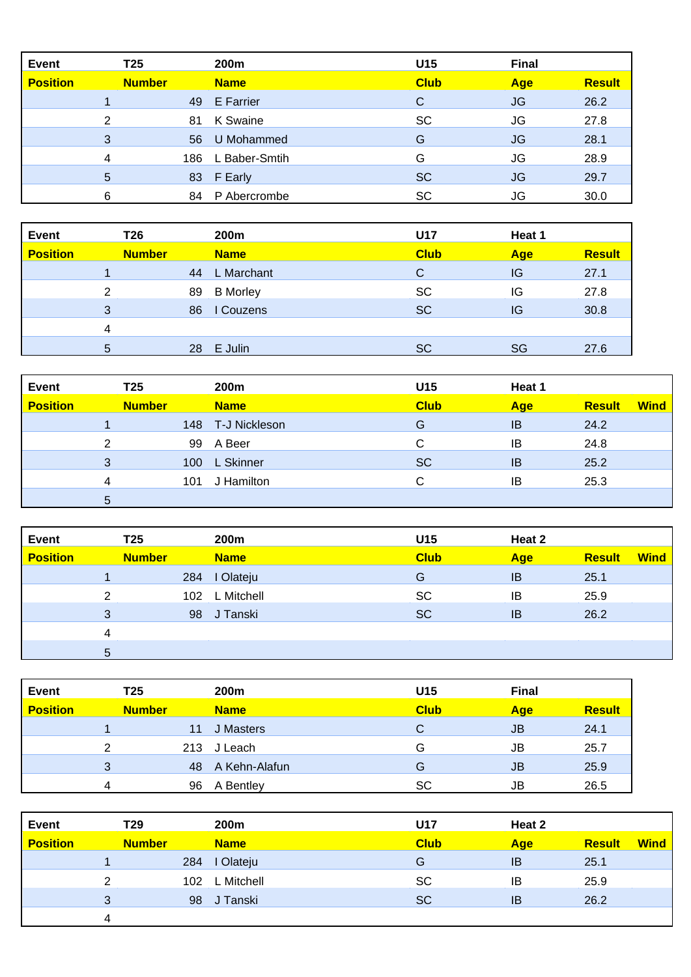| <b>Event</b>    | T25           |     | 200m             | U15         | <b>Final</b> |               |
|-----------------|---------------|-----|------------------|-------------|--------------|---------------|
| <b>Position</b> | <b>Number</b> |     | <b>Name</b>      | <b>Club</b> | Age          | <b>Result</b> |
|                 |               | 49  | <b>E</b> Farrier | C           | JG           | 26.2          |
|                 | 2             | 81  | K Swaine         | SC          | JG           | 27.8          |
|                 | 3             | 56  | U Mohammed       | G           | JG           | 28.1          |
|                 | 4             | 186 | L Baber-Smtih    | G           | JG           | 28.9          |
|                 | 5             | 83  | F Early          | <b>SC</b>   | JG           | 29.7          |
|                 | 6             | 84  | P Abercrombe     | <b>SC</b>   | JG           | 30.0          |

| Event           | T26           |    | 200m            | U17         | Heat 1 |               |
|-----------------|---------------|----|-----------------|-------------|--------|---------------|
| <b>Position</b> | <b>Number</b> |    | <b>Name</b>     | <b>Club</b> | Age    | <b>Result</b> |
|                 |               | 44 | L Marchant      | С           | IG     | 27.1          |
|                 | 2             | 89 | <b>B</b> Morley | <b>SC</b>   | IG     | 27.8          |
|                 | 3             | 86 | I Couzens       | <b>SC</b>   | IG     | 30.8          |
|                 | 4             |    |                 |             |        |               |
|                 | 5             |    | 28 E Julin      | <b>SC</b>   | SG     | 27.6          |

| Event           | T <sub>25</sub> |     | 200m          | U15         | Heat 1     |               |             |
|-----------------|-----------------|-----|---------------|-------------|------------|---------------|-------------|
| <b>Position</b> | <b>Number</b>   |     | <b>Name</b>   | <b>Club</b> | <b>Age</b> | <b>Result</b> | <b>Wind</b> |
|                 |                 | 148 | T-J Nickleson | G           | IB         | 24.2          |             |
|                 | ົ               | 99  | A Beer        | C           | ΙB         | 24.8          |             |
|                 | 3               | 100 | L Skinner     | <b>SC</b>   | IB         | 25.2          |             |
|                 | 4               | 101 | J Hamilton    | C           | IB         | 25.3          |             |
|                 | 5               |     |               |             |            |               |             |

| <b>Event</b>    | T <sub>25</sub> |     | 200m        | U15         | Heat 2     |               |             |
|-----------------|-----------------|-----|-------------|-------------|------------|---------------|-------------|
| <b>Position</b> | <b>Number</b>   |     | <b>Name</b> | <b>Club</b> | <b>Age</b> | <b>Result</b> | <b>Wind</b> |
|                 |                 | 284 | I Olateju   | G           | IB         | 25.1          |             |
|                 | ົ               | 102 | L Mitchell  | SC          | IB         | 25.9          |             |
|                 | 3               | 98  | J Tanski    | <b>SC</b>   | IB         | 26.2          |             |
|                 | $\overline{4}$  |     |             |             |            |               |             |
|                 | 5               |     |             |             |            |               |             |

| Event           | T25           |     | 200 <sub>m</sub> | U15         | <b>Final</b> |               |
|-----------------|---------------|-----|------------------|-------------|--------------|---------------|
| <b>Position</b> | <b>Number</b> |     | <b>Name</b>      | <b>Club</b> | <b>Age</b>   | <b>Result</b> |
|                 |               | 11  | J Masters        | С           | JB           | 24.1          |
|                 | ◠             | 213 | J Leach          | G           | JB           | 25.7          |
|                 | 3             | 48  | A Kehn-Alafun    | G           | JB           | 25.9          |
|                 | 4             | 96  | A Bentley        | SC          | JB           | 26.5          |

| <b>Event</b>    | T <sub>29</sub> |     | 200m        | U17         | Heat 2     |               |             |
|-----------------|-----------------|-----|-------------|-------------|------------|---------------|-------------|
| <b>Position</b> | <b>Number</b>   |     | <b>Name</b> | <b>Club</b> | <b>Age</b> | <b>Result</b> | <b>Wind</b> |
|                 |                 | 284 | I Olateju   | G           | IB         | 25.1          |             |
|                 | ົ               | 102 | L Mitchell  | <b>SC</b>   | IB         | 25.9          |             |
|                 | 3               | 98  | J Tanski    | <b>SC</b>   | IB         | 26.2          |             |
|                 | 4               |     |             |             |            |               |             |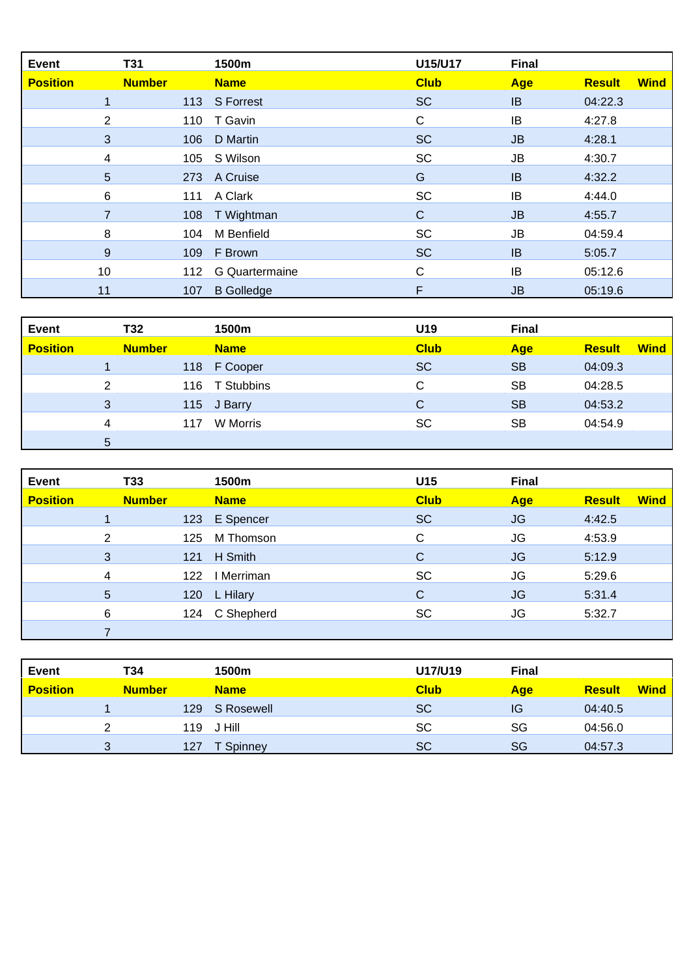| <b>Event</b>    | <b>T31</b>    | 1500m             | U15/U17     | <b>Final</b> |               |             |
|-----------------|---------------|-------------------|-------------|--------------|---------------|-------------|
| <b>Position</b> | <b>Number</b> | <b>Name</b>       | <b>Club</b> | <b>Age</b>   | <b>Result</b> | <b>Wind</b> |
|                 | 113           | <b>S</b> Forrest  | <b>SC</b>   | IB           | 04:22.3       |             |
| 2               | 110           | T Gavin           | C           | IB           | 4:27.8        |             |
| 3               | 106           | D Martin          | <b>SC</b>   | <b>JB</b>    | 4:28.1        |             |
| 4               | 105           | S Wilson          | <b>SC</b>   | <b>JB</b>    | 4:30.7        |             |
| $\overline{5}$  |               | 273 A Cruise      | G           | IB           | 4:32.2        |             |
| 6               | 111           | A Clark           | <b>SC</b>   | IB           | 4:44.0        |             |
|                 | 108           | T Wightman        | C           | <b>JB</b>    | 4:55.7        |             |
| 8               | 104           | M Benfield        | <b>SC</b>   | JB           | 04:59.4       |             |
| 9               | 109           | F Brown           | <b>SC</b>   | <b>IB</b>    | 5:05.7        |             |
| 10              | 112           | G Quartermaine    | C           | IB           | 05:12.6       |             |
| 11              | 107           | <b>B</b> Golledge | F           | <b>JB</b>    | 05:19.6       |             |

| <b>Event</b>    | T32            |     | 1500m          | U19         | <b>Final</b> |               |             |
|-----------------|----------------|-----|----------------|-------------|--------------|---------------|-------------|
| <b>Position</b> | <b>Number</b>  |     | <b>Name</b>    | <b>Club</b> | <b>Age</b>   | <b>Result</b> | <b>Wind</b> |
|                 |                |     | 118 F Cooper   | <b>SC</b>   | <b>SB</b>    | 04:09.3       |             |
|                 | $\overline{2}$ |     | 116 T Stubbins | С           | SB           | 04:28.5       |             |
|                 | 3              |     | 115 J Barry    | C           | <b>SB</b>    | 04:53.2       |             |
|                 | 4              | 117 | W Morris       | <b>SC</b>   | SB           | 04:54.9       |             |
|                 | 5              |     |                |             |              |               |             |

| <b>Event</b>    | <b>T33</b>     |     | 1500m       | U15         | <b>Final</b> |               |             |
|-----------------|----------------|-----|-------------|-------------|--------------|---------------|-------------|
| <b>Position</b> | <b>Number</b>  |     | <b>Name</b> | <b>Club</b> | Age          | <b>Result</b> | <b>Wind</b> |
|                 |                | 123 | E Spencer   | <b>SC</b>   | <b>JG</b>    | 4:42.5        |             |
|                 | $\overline{2}$ | 125 | M Thomson   | C           | JG           | 4:53.9        |             |
|                 | 3              | 121 | H Smith     | C           | <b>JG</b>    | 5:12.9        |             |
|                 | 4              | 122 | I Merriman  | <b>SC</b>   | JG           | 5:29.6        |             |
|                 | 5              | 120 | L Hilary    | C           | <b>JG</b>    | 5:31.4        |             |
|                 | 6              | 124 | C Shepherd  | <b>SC</b>   | JG           | 5:32.7        |             |
|                 |                |     |             |             |              |               |             |

| Event           | T34               |     | 1500m          | U17/U19     | <b>Final</b> |               |             |
|-----------------|-------------------|-----|----------------|-------------|--------------|---------------|-------------|
| <b>Position</b> | <b>Number</b>     |     | <b>Name</b>    | <b>Club</b> | Age          | <b>Result</b> | <b>Wind</b> |
|                 |                   | 129 | S Rosewell     | <b>SC</b>   | IG           | 04:40.5       |             |
|                 |                   | 119 | J Hill         | <b>SC</b>   | SG           | 04:56.0       |             |
|                 | $\mathbf{r}$<br>J | 127 | <b>Spinney</b> | <b>SC</b>   | SG           | 04:57.3       |             |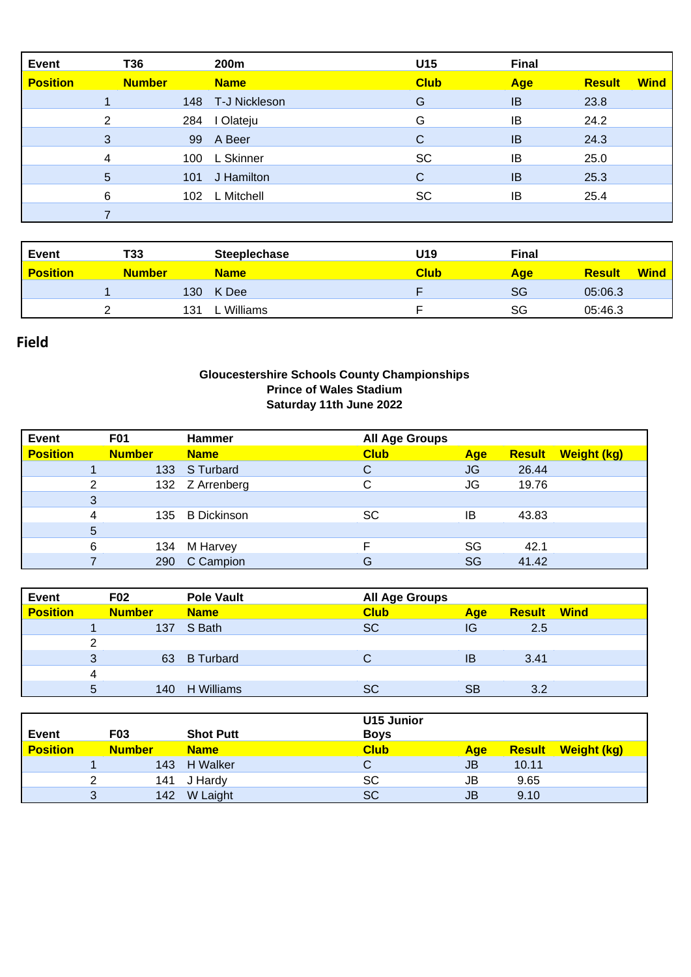| <b>Event</b>    | T36            |     | 200m              | U15         | <b>Final</b> |               |             |
|-----------------|----------------|-----|-------------------|-------------|--------------|---------------|-------------|
| <b>Position</b> | <b>Number</b>  |     | <b>Name</b>       | <b>Club</b> | Age          | <b>Result</b> | <b>Wind</b> |
|                 |                |     | 148 T-J Nickleson | G           | IB           | 23.8          |             |
|                 | $\overline{2}$ | 284 | I Olateju         | G           | IB           | 24.2          |             |
|                 | 3              | 99  | A Beer            | C           | IB           | 24.3          |             |
|                 | 4              | 100 | L Skinner         | <b>SC</b>   | IB           | 25.0          |             |
|                 | 5              | 101 | J Hamilton        | $\mathbf C$ | <b>IB</b>    | 25.3          |             |
|                 | 6              | 102 | L Mitchell        | <b>SC</b>   | IB           | 25.4          |             |
|                 |                |     |                   |             |              |               |             |

| <b>Event</b>    | T33           |     | <b>Steeplechase</b> | U19         | <b>Final</b> |                              |
|-----------------|---------------|-----|---------------------|-------------|--------------|------------------------------|
| <b>Position</b> | <b>Number</b> |     | <b>Name</b>         | <b>Club</b> | <b>Age</b>   | <b>Wind</b><br><b>Result</b> |
|                 |               | 130 | K Dee               |             | <b>SG</b>    | 05:06.3                      |
|                 |               | 131 | Williams            |             | SG           | 05:46.3                      |

## **Field**

## **Gloucestershire Schools County Championships Prince of Wales Stadium Saturday 11th June 2022**

| <b>Event</b>    | <b>F01</b>    |     | <b>Hammer</b>      | <b>All Age Groups</b> |           |               |             |
|-----------------|---------------|-----|--------------------|-----------------------|-----------|---------------|-------------|
| <b>Position</b> | <b>Number</b> |     | <b>Name</b>        | <b>Club</b>           | Age       | <b>Result</b> | Weight (kg) |
|                 |               | 133 | S Turbard          | C                     | <b>JG</b> | 26.44         |             |
|                 | 2             |     | 132 Z Arrenberg    | C                     | JG        | 19.76         |             |
|                 | 3             |     |                    |                       |           |               |             |
|                 | 4             | 135 | <b>B</b> Dickinson | SC                    | IB        | 43.83         |             |
|                 | 5             |     |                    |                       |           |               |             |
|                 | 6             | 134 | M Harvey           |                       | SG        | 42.1          |             |
|                 |               | 290 | C Campion          | G                     | <b>SG</b> | 41.42         |             |

| <b>Event</b>    |   | <b>F02</b>    | <b>Pole Vault</b> | <b>All Age Groups</b> |     |                    |  |
|-----------------|---|---------------|-------------------|-----------------------|-----|--------------------|--|
| <b>Position</b> |   | <b>Number</b> | <b>Name</b>       | <b>Club</b>           | Age | <b>Result Wind</b> |  |
|                 |   |               | 137 S Bath        | <b>SC</b>             | IG  | 2.5                |  |
|                 | っ |               |                   |                       |     |                    |  |
|                 | 3 | 63            | B Turbard         |                       | ΙB  | 3.41               |  |
|                 | 4 |               |                   |                       |     |                    |  |
|                 | 5 | 140           | H Williams        | SC                    | SВ  | 3.2                |  |

| Event           |   | <b>F03</b>    | <b>Shot Putt</b> | <b>U15 Junior</b><br><b>Boys</b> |     |       |                           |
|-----------------|---|---------------|------------------|----------------------------------|-----|-------|---------------------------|
| <b>Position</b> |   | <b>Number</b> | <b>Name</b>      | <b>Club</b>                      | Age |       | <b>Result Weight (kg)</b> |
|                 |   |               | 143 H Walker     |                                  | JB  | 10.11 |                           |
|                 | っ | 141           | J Hardy          | SC                               | JB  | 9.65  |                           |
|                 | 3 | 142           | W Laight         | SC                               | JB  | 9.10  |                           |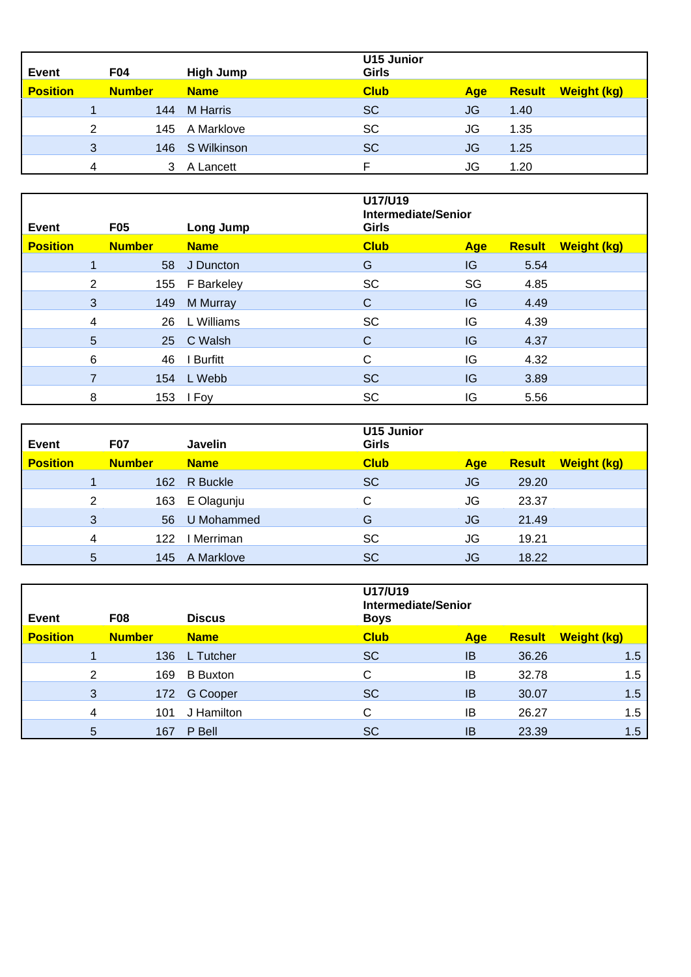| Event           |   | <b>F04</b>    | High Jump       | U15 Junior<br>Girls |           |               |                    |
|-----------------|---|---------------|-----------------|---------------------|-----------|---------------|--------------------|
| <b>Position</b> |   | <b>Number</b> | <b>Name</b>     | <b>Club</b>         | Age       | <b>Result</b> | <b>Weight (kg)</b> |
|                 |   | 144           | <b>M</b> Harris | <b>SC</b>           | JG        | 1.40          |                    |
|                 | 2 |               | 145 A Marklove  | <b>SC</b>           | JG        | 1.35          |                    |
|                 | 3 |               | 146 S Wilkinson | <b>SC</b>           | <b>JG</b> | 1.25          |                    |
|                 | 4 |               | A Lancett       |                     | JG        | 1.20          |                    |

| <b>Event</b><br><b>F05</b> |               | Long Jump      | U17/U19<br><b>Intermediate/Senior</b><br>Girls |     |               |                    |
|----------------------------|---------------|----------------|------------------------------------------------|-----|---------------|--------------------|
| <b>Position</b>            | <b>Number</b> | <b>Name</b>    | <b>Club</b>                                    | Age | <b>Result</b> | <b>Weight (kg)</b> |
| 1                          |               | 58 J Duncton   | G                                              | IG  | 5.54          |                    |
| $\overline{2}$             |               | 155 F Barkeley | <b>SC</b>                                      | SG  | 4.85          |                    |
| $\mathbf{3}$               | 149           | M Murray       | $\mathsf{C}$                                   | IG  | 4.49          |                    |
| 4                          | 26            | L Williams     | <b>SC</b>                                      | IG  | 4.39          |                    |
| $\overline{5}$             |               | 25 C Walsh     | $\mathsf{C}$                                   | IG  | 4.37          |                    |
| 6                          | 46            | I Burfitt      | C                                              | IG  | 4.32          |                    |
| $\overline{7}$             |               | 154 L Webb     | <b>SC</b>                                      | IG  | 3.89          |                    |
| 8                          |               | 153 I Foy      | <b>SC</b>                                      | IG  | 5.56          |                    |

| Event           |   | <b>F07</b>    | Javelin     | <b>U15 Junior</b><br>Girls |           |               |                    |
|-----------------|---|---------------|-------------|----------------------------|-----------|---------------|--------------------|
| <b>Position</b> |   | <b>Number</b> | <b>Name</b> | <b>Club</b>                | Age       | <b>Result</b> | <b>Weight (kg)</b> |
|                 |   | 162           | R Buckle    | <b>SC</b>                  | JG        | 29.20         |                    |
|                 | 2 | 163           | E Olagunju  | C                          | JG        | 23.37         |                    |
|                 | 3 | 56            | U Mohammed  | G                          | JG        | 21.49         |                    |
|                 | 4 | 122           | I Merriman  | <b>SC</b>                  | JG        | 19.21         |                    |
|                 | 5 | 145           | A Marklove  | <b>SC</b>                  | <b>JG</b> | 18.22         |                    |

| Event           |   | <b>F08</b>    | <b>Discus</b>   | U17/U19<br><b>Intermediate/Senior</b><br><b>Boys</b> |     |               |                    |
|-----------------|---|---------------|-----------------|------------------------------------------------------|-----|---------------|--------------------|
| <b>Position</b> |   | <b>Number</b> | <b>Name</b>     | <b>Club</b>                                          | Age | <b>Result</b> | <b>Weight (kg)</b> |
|                 |   | 136           | L Tutcher       | <b>SC</b>                                            | IB  | 36.26         | 1.5                |
|                 | 2 | 169           | <b>B</b> Buxton | С                                                    | IB  | 32.78         | 1.5                |
|                 | 3 | 172           | G Cooper        | <b>SC</b>                                            | IB  | 30.07         | 1.5                |
|                 | 4 | 101           | J Hamilton      | С                                                    | IB  | 26.27         | 1.5                |
|                 | 5 | 167           | P Bell          | <b>SC</b>                                            | IB  | 23.39         | 1.5                |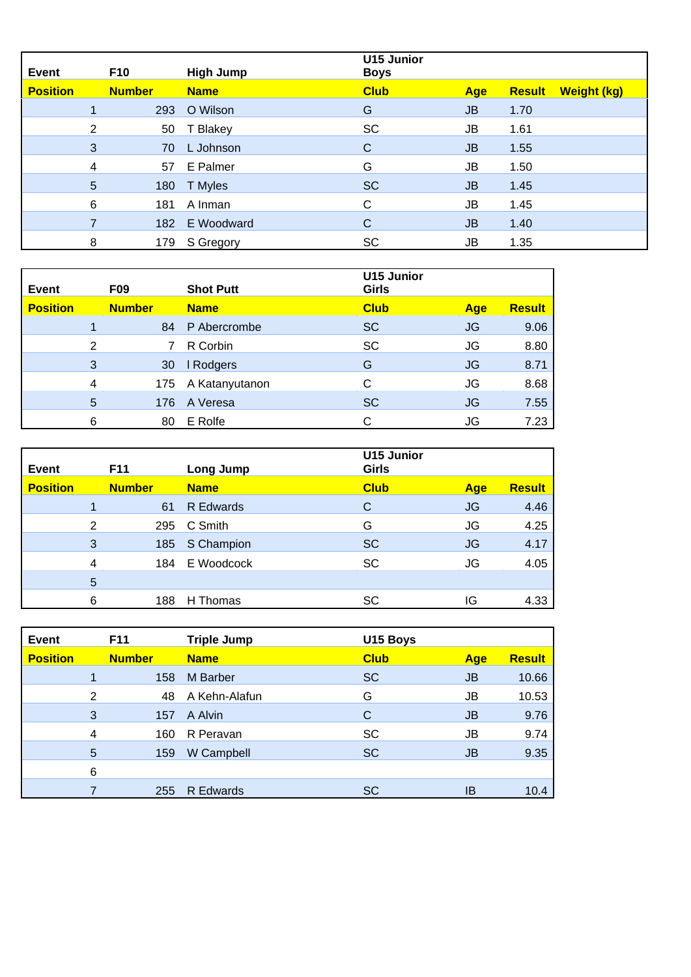| <b>Event</b>    |                | <b>F10</b>    | <b>High Jump</b> | <b>U15 Junior</b><br><b>Boys</b> |           |               |                    |
|-----------------|----------------|---------------|------------------|----------------------------------|-----------|---------------|--------------------|
| <b>Position</b> |                | <b>Number</b> | <b>Name</b>      | <b>Club</b>                      | Age       | <b>Result</b> | <b>Weight (kg)</b> |
|                 |                | 293           | O Wilson         | G                                | JB        | 1.70          |                    |
|                 | $\overline{2}$ | 50            | T Blakey         | SC                               | JB        | 1.61          |                    |
|                 | 3              | 70            | L Johnson        | С                                | JB        | 1.55          |                    |
|                 | 4              | 57            | E Palmer         | G                                | JB        | 1.50          |                    |
|                 | 5              | 180           | T Myles          | <b>SC</b>                        | <b>JB</b> | 1.45          |                    |
|                 | 6              | 181           | A Inman          | С                                | JB        | 1.45          |                    |
|                 | 7              | 182           | E Woodward       | С                                | JB        | 1.40          |                    |
|                 | 8              | 179           | S Gregory        | <b>SC</b>                        | JB        | 1.35          |                    |

| Event           |                | F <sub>09</sub> | <b>Shot Putt</b> | <b>U15 Junior</b><br>Girls |     |               |
|-----------------|----------------|-----------------|------------------|----------------------------|-----|---------------|
| <b>Position</b> |                | <b>Number</b>   | <b>Name</b>      | <b>Club</b>                | Age | <b>Result</b> |
|                 |                | 84              | P Abercrombe     | <b>SC</b>                  | JG  | 9.06          |
|                 | $\overline{2}$ |                 | R Corbin         | <b>SC</b>                  | JG  | 8.80          |
|                 | 3              | 30              | I Rodgers        | G                          | JG  | 8.71          |
|                 | 4              | 175             | A Katanyutanon   | С                          | JG  | 8.68          |
|                 | 5              | 176             | A Veresa         | <b>SC</b>                  | JG  | 7.55          |
|                 | 6              | 80              | E Rolfe          | С                          | JG  | 7.23          |

| Event           |   | <b>F11</b>    | Long Jump   | <b>U15 Junior</b><br>Girls |            |               |
|-----------------|---|---------------|-------------|----------------------------|------------|---------------|
| <b>Position</b> |   | <b>Number</b> | <b>Name</b> | <b>Club</b>                | <b>Age</b> | <b>Result</b> |
|                 |   | 61            | R Edwards   | С                          | JG         | 4.46          |
|                 | 2 | 295           | C Smith     | G                          | JG         | 4.25          |
|                 | 3 | 185           | S Champion  | <b>SC</b>                  | JG         | 4.17          |
|                 | 4 | 184           | E Woodcock  | <b>SC</b>                  | JG         | 4.05          |
|                 | 5 |               |             |                            |            |               |
|                 | 6 | 188           | H Thomas    | SC                         | IG         | 4.33          |

| <b>Event</b>    |   | F11           | <b>Triple Jump</b> | U15 Boys    |     |               |
|-----------------|---|---------------|--------------------|-------------|-----|---------------|
| <b>Position</b> |   | <b>Number</b> | <b>Name</b>        | <b>Club</b> | Age | <b>Result</b> |
|                 |   | 158           | M Barber           | <b>SC</b>   | JB  | 10.66         |
|                 | 2 | 48            | A Kehn-Alafun      | G           | JB  | 10.53         |
|                 | 3 | 157           | A Alvin            | С           | JB  | 9.76          |
|                 | 4 | 160           | R Peravan          | <b>SC</b>   | JB  | 9.74          |
|                 | 5 | 159           | W Campbell         | <b>SC</b>   | JB  | 9.35          |
|                 | 6 |               |                    |             |     |               |
|                 |   | 255           | R Edwards          | <b>SC</b>   | ΙB  | 10.4          |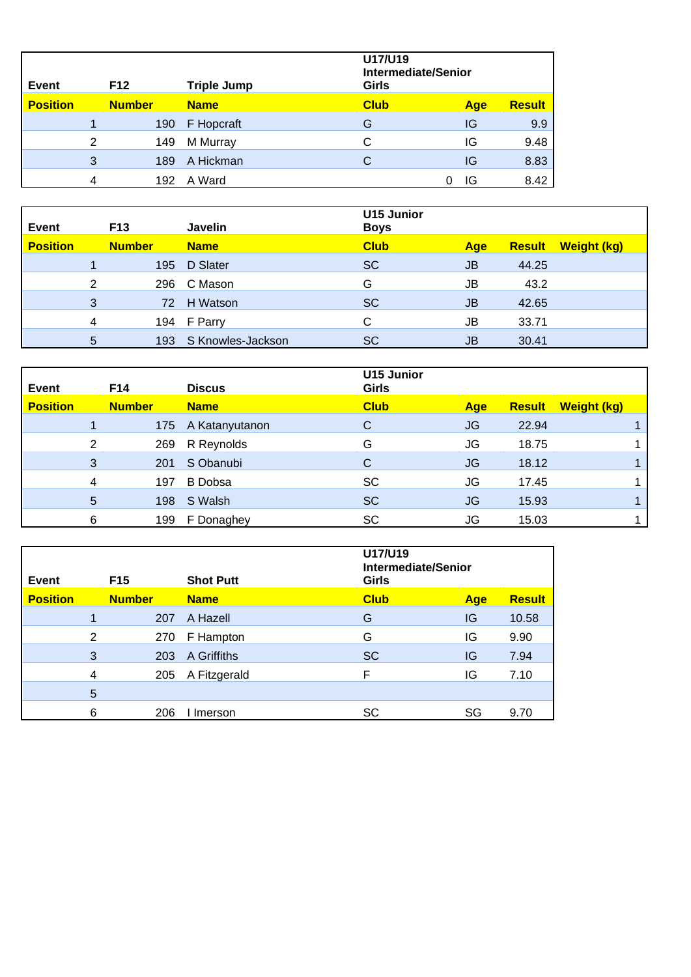| Event           |   | F <sub>12</sub> | <b>Triple Jump</b> | U17/U19<br>Girls | <b>Intermediate/Senior</b> |               |  |
|-----------------|---|-----------------|--------------------|------------------|----------------------------|---------------|--|
| <b>Position</b> |   | <b>Number</b>   | <b>Name</b>        | <b>Club</b>      | <b>Age</b>                 | <b>Result</b> |  |
|                 |   | 190             | F Hopcraft         | G                | IG                         | 9.9           |  |
|                 | 2 | 149             | M Murray           | C                | IG                         | 9.48          |  |
|                 | 3 | 189             | A Hickman          | C                | IG                         | 8.83          |  |
|                 | 4 | 192             | A Ward             | 0                | IG                         | 8.42          |  |

| Event           |   | <b>F13</b>    | Javelin           | <b>U15 Junior</b><br><b>Boys</b> |           |               |             |
|-----------------|---|---------------|-------------------|----------------------------------|-----------|---------------|-------------|
| <b>Position</b> |   | <b>Number</b> | <b>Name</b>       | <b>Club</b>                      | Age       | <b>Result</b> | Weight (kg) |
|                 |   | 195           | D Slater          | <b>SC</b>                        | <b>JB</b> | 44.25         |             |
|                 | 2 | 296           | C Mason           | G                                | JB        | 43.2          |             |
|                 | 3 |               | 72 H Watson       | <b>SC</b>                        | <b>JB</b> | 42.65         |             |
|                 | 4 |               | 194 F Parry       | C                                | JB        | 33.71         |             |
|                 | 5 | 193           | S Knowles-Jackson | <b>SC</b>                        | JB        | 30.41         |             |

| Event           |   | F14           | <b>Discus</b>      | <b>U15 Junior</b><br><b>Girls</b> |           |               |                    |  |
|-----------------|---|---------------|--------------------|-----------------------------------|-----------|---------------|--------------------|--|
| <b>Position</b> |   | <b>Number</b> | <b>Name</b>        | <b>Club</b>                       | Age       | <b>Result</b> | <b>Weight (kg)</b> |  |
|                 |   |               | 175 A Katanyutanon | C                                 | <b>JG</b> | 22.94         |                    |  |
|                 | 2 | 269           | R Reynolds         | G                                 | JG        | 18.75         |                    |  |
|                 | 3 | 201           | S Obanubi          | C                                 | <b>JG</b> | 18.12         |                    |  |
|                 | 4 | 197           | <b>B</b> Dobsa     | <b>SC</b>                         | JG        | 17.45         |                    |  |
|                 | 5 | 198           | S Walsh            | <b>SC</b>                         | JG        | 15.93         |                    |  |
|                 | 6 | 199           | F Donaghey         | <b>SC</b>                         | JG        | 15.03         |                    |  |

| Event           |   | F <sub>15</sub> | <b>Shot Putt</b> | U17/U19<br><b>Intermediate/Senior</b><br>Girls |            |               |
|-----------------|---|-----------------|------------------|------------------------------------------------|------------|---------------|
| <b>Position</b> |   | <b>Number</b>   | <b>Name</b>      | <b>Club</b>                                    | <b>Age</b> | <b>Result</b> |
|                 |   | 207             | A Hazell         | G                                              | IG         | 10.58         |
|                 | 2 | 270             | F Hampton        | G                                              | IG         | 9.90          |
|                 | 3 | 203             | A Griffiths      | <b>SC</b>                                      | IG         | 7.94          |
|                 | 4 | 205             | A Fitzgerald     | F                                              | IG         | 7.10          |
|                 | 5 |                 |                  |                                                |            |               |
|                 | 6 | 206             | Imerson          | SC                                             | SG         | 9.70          |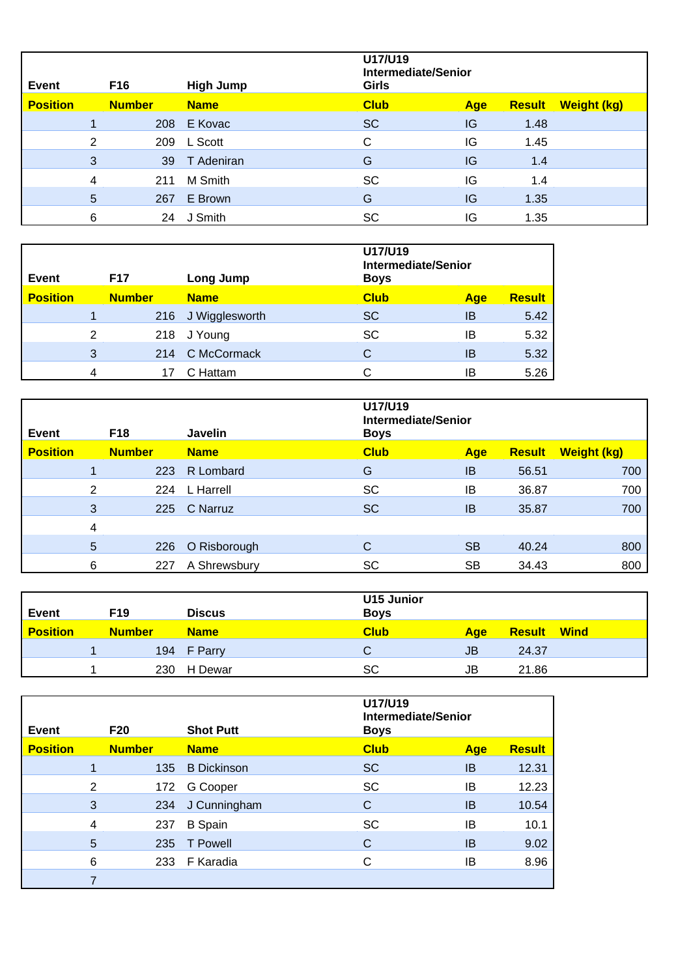| Event           |   | F16           | <b>High Jump</b> | U17/U19<br>Intermediate/Senior<br><b>Girls</b> |     |               |                    |
|-----------------|---|---------------|------------------|------------------------------------------------|-----|---------------|--------------------|
| <b>Position</b> |   | <b>Number</b> | <b>Name</b>      | <b>Club</b>                                    | Age | <b>Result</b> | <b>Weight (kg)</b> |
|                 |   | 208           | E Kovac          | <b>SC</b>                                      | IG  | 1.48          |                    |
|                 | 2 |               | 209 L Scott      | C                                              | IG  | 1.45          |                    |
|                 | 3 | 39            | T Adeniran       | G                                              | IG  | 1.4           |                    |
|                 | 4 | 211           | M Smith          | <b>SC</b>                                      | IG  | 1.4           |                    |
|                 | 5 | 267           | E Brown          | G                                              | IG  | 1.35          |                    |
|                 | 6 | 24            | J Smith          | SC                                             | IG  | 1.35          |                    |

| Event           |   | F <sub>17</sub> | Long Jump      | U17/U19<br>Intermediate/Senior<br><b>Boys</b> |            |               |
|-----------------|---|-----------------|----------------|-----------------------------------------------|------------|---------------|
| <b>Position</b> |   | <b>Number</b>   | <b>Name</b>    | <b>Club</b>                                   | <b>Age</b> | <b>Result</b> |
|                 |   | 216             | J Wigglesworth | <b>SC</b>                                     | IB         | 5.42          |
|                 | 2 | 218             | J Young        | <b>SC</b>                                     | IB         | 5.32          |
|                 | 3 | 214             | C McCormack    | С                                             | ΙB         | 5.32          |
|                 | 4 |                 | C Hattam       |                                               | IB         | 5.26          |

| Event           |   | F <sub>18</sub> | Javelin      | U17/U19<br><b>Boys</b> | Intermediate/Senior |               |                    |
|-----------------|---|-----------------|--------------|------------------------|---------------------|---------------|--------------------|
| <b>Position</b> |   | <b>Number</b>   | <b>Name</b>  | <b>Club</b>            | Age                 | <b>Result</b> | <b>Weight (kg)</b> |
|                 |   | 223             | R Lombard    | G                      | IB                  | 56.51         | 700                |
|                 | 2 | 224             | L Harrell    | <b>SC</b>              | IB                  | 36.87         | 700                |
|                 | 3 | 225             | C Narruz     | <b>SC</b>              | IB                  | 35.87         | 700                |
|                 | 4 |                 |              |                        |                     |               |                    |
|                 | 5 | 226             | O Risborough | С                      | <b>SB</b>           | 40.24         | 800                |
|                 | 6 | 227             | A Shrewsbury | SC                     | <b>SB</b>           | 34.43         | 800                |

| <b>Event</b>    | F19           | <b>Discus</b> | <b>U15 Junior</b><br><b>Boys</b> |     |                    |  |
|-----------------|---------------|---------------|----------------------------------|-----|--------------------|--|
| <b>Position</b> | <b>Number</b> | <b>Name</b>   | <b>Club</b>                      | Age | <b>Result Wind</b> |  |
|                 |               | 194 F Parry   |                                  | JB  | 24.37              |  |
|                 |               | 230 H Dewar   | SC                               | JB  | 21.86              |  |

| <b>Event</b>    |   | <b>F20</b>    | <b>Shot Putt</b>   | U17/U19<br>Intermediate/Senior<br><b>Boys</b> |     |               |
|-----------------|---|---------------|--------------------|-----------------------------------------------|-----|---------------|
| <b>Position</b> |   | <b>Number</b> | <b>Name</b>        | <b>Club</b>                                   | Age | <b>Result</b> |
|                 |   | 135           | <b>B</b> Dickinson | <b>SC</b>                                     | IB  | 12.31         |
|                 | 2 | 172           | G Cooper           | <b>SC</b>                                     | ΙB  | 12.23         |
|                 | 3 | 234           | J Cunningham       | С                                             | IB  | 10.54         |
|                 | 4 | 237           | <b>B</b> Spain     | <b>SC</b>                                     | ΙB  | 10.1          |
|                 | 5 | 235           | T Powell           | С                                             | IB  | 9.02          |
|                 | 6 | 233           | F Karadia          | С                                             | IB  | 8.96          |
|                 |   |               |                    |                                               |     |               |